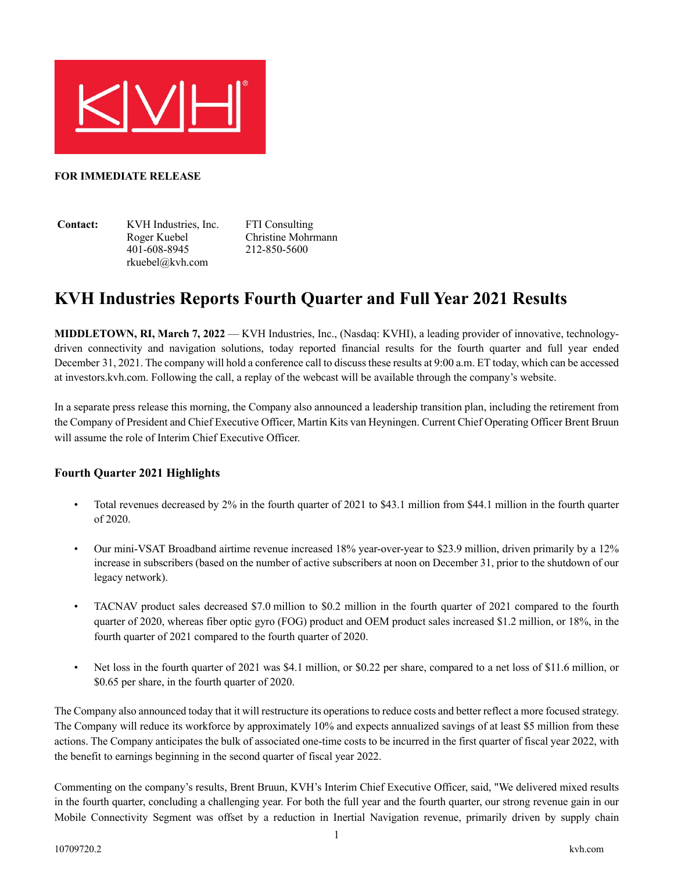

#### **FOR IMMEDIATE RELEASE**

**Contact:** KVH Industries, Inc. Roger Kuebel 401-608-8945 rkuebel@kvh.com

FTI Consulting Christine Mohrmann 212-850-5600

# **KVH Industries Reports Fourth Quarter and Full Year 2021 Results**

**MIDDLETOWN, RI, March 7, 2022** — KVH Industries, Inc., (Nasdaq: KVHI), a leading provider of innovative, technologydriven connectivity and navigation solutions, today reported financial results for the fourth quarter and full year ended December 31, 2021. The company will hold a conference call to discuss these results at 9:00 a.m. ET today, which can be accessed at investors.kvh.com. Following the call, a replay of the webcast will be available through the company's website.

In a separate press release this morning, the Company also announced a leadership transition plan, including the retirement from the Company of President and Chief Executive Officer, Martin Kits van Heyningen. Current Chief Operating Officer Brent Bruun will assume the role of Interim Chief Executive Officer.

#### **Fourth Quarter 2021 Highlights**

- Total revenues decreased by 2% in the fourth quarter of 2021 to \$43.1 million from \$44.1 million in the fourth quarter of 2020.
- Our mini-VSAT Broadband airtime revenue increased 18% year-over-year to \$23.9 million, driven primarily by a 12% increase in subscribers (based on the number of active subscribers at noon on December 31, prior to the shutdown of our legacy network).
- TACNAV product sales decreased \$7.0 million to \$0.2 million in the fourth quarter of 2021 compared to the fourth quarter of 2020, whereas fiber optic gyro (FOG) product and OEM product sales increased \$1.2 million, or 18%, in the fourth quarter of 2021 compared to the fourth quarter of 2020.
- Net loss in the fourth quarter of 2021 was \$4.1 million, or \$0.22 per share, compared to a net loss of \$11.6 million, or \$0.65 per share, in the fourth quarter of 2020.

The Company also announced today that it will restructure its operations to reduce costs and better reflect a more focused strategy. The Company will reduce its workforce by approximately 10% and expects annualized savings of at least \$5 million from these actions. The Company anticipates the bulk of associated one-time costs to be incurred in the first quarter of fiscal year 2022, with the benefit to earnings beginning in the second quarter of fiscal year 2022.

Commenting on the company's results, Brent Bruun, KVH's Interim Chief Executive Officer, said, "We delivered mixed results in the fourth quarter, concluding a challenging year. For both the full year and the fourth quarter, our strong revenue gain in our Mobile Connectivity Segment was offset by a reduction in Inertial Navigation revenue, primarily driven by supply chain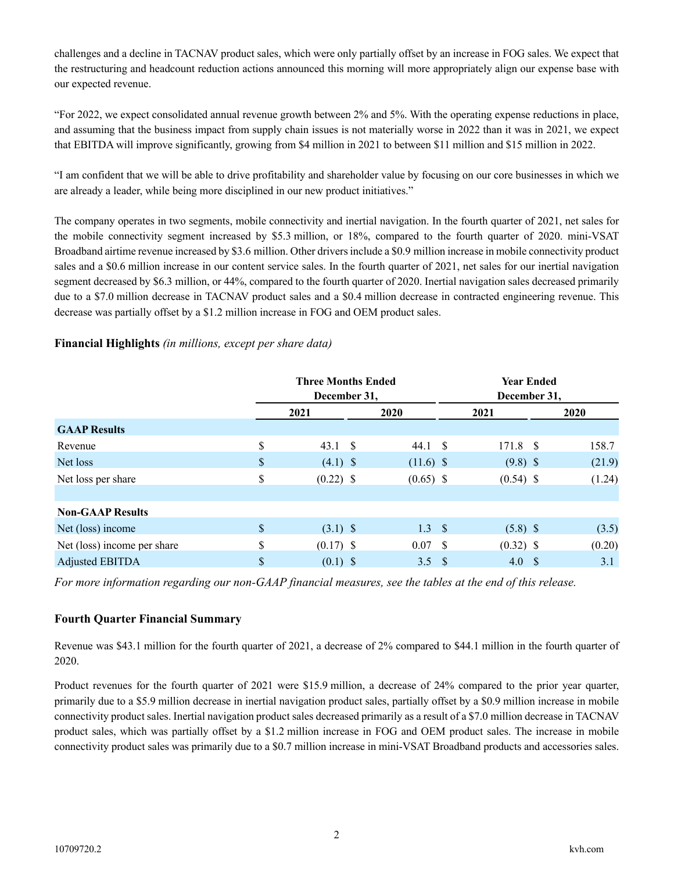challenges and a decline in TACNAV product sales, which were only partially offset by an increase in FOG sales. We expect that the restructuring and headcount reduction actions announced this morning will more appropriately align our expense base with our expected revenue.

"For 2022, we expect consolidated annual revenue growth between 2% and 5%. With the operating expense reductions in place, and assuming that the business impact from supply chain issues is not materially worse in 2022 than it was in 2021, we expect that EBITDA will improve significantly, growing from \$4 million in 2021 to between \$11 million and \$15 million in 2022.

"I am confident that we will be able to drive profitability and shareholder value by focusing on our core businesses in which we are already a leader, while being more disciplined in our new product initiatives."

The company operates in two segments, mobile connectivity and inertial navigation. In the fourth quarter of 2021, net sales for the mobile connectivity segment increased by \$5.3 million, or 18%, compared to the fourth quarter of 2020. mini-VSAT Broadband airtime revenue increased by \$3.6 million. Other drivers include a \$0.9 million increase in mobile connectivity product sales and a \$0.6 million increase in our content service sales. In the fourth quarter of 2021, net sales for our inertial navigation segment decreased by \$6.3 million, or 44%, compared to the fourth quarter of 2020. Inertial navigation sales decreased primarily due to a \$7.0 million decrease in TACNAV product sales and a \$0.4 million decrease in contracted engineering revenue. This decrease was partially offset by a \$1.2 million increase in FOG and OEM product sales.

#### **Financial Highlights** *(in millions, except per share data)*

|                             | <b>Three Months Ended</b><br>December 31, |             |     | <b>Year Ended</b><br>December 31, |     |        |  |  |  |  |  |  |  |             |
|-----------------------------|-------------------------------------------|-------------|-----|-----------------------------------|-----|--------|--|--|--|--|--|--|--|-------------|
|                             | 2021                                      | <b>2020</b> |     | 2021                              |     |        |  |  |  |  |  |  |  | <b>2020</b> |
| <b>GAAP Results</b>         |                                           |             |     |                                   |     |        |  |  |  |  |  |  |  |             |
| Revenue                     | \$<br>$43.1 \quad $$                      | 44.1 S      |     | 171.8 \$                          |     | 158.7  |  |  |  |  |  |  |  |             |
| Net loss                    | \$<br>$(4.1)$ \$                          | $(11.6)$ \$ |     | $(9.8)$ \$                        |     | (21.9) |  |  |  |  |  |  |  |             |
| Net loss per share          | \$<br>$(0.22)$ \$                         | $(0.65)$ \$ |     | $(0.54)$ \$                       |     | (1.24) |  |  |  |  |  |  |  |             |
|                             |                                           |             |     |                                   |     |        |  |  |  |  |  |  |  |             |
| <b>Non-GAAP Results</b>     |                                           |             |     |                                   |     |        |  |  |  |  |  |  |  |             |
| Net (loss) income           | \$<br>$(3.1)$ \$                          | $1.3 \quad$ |     | $(5.8)$ \$                        |     | (3.5)  |  |  |  |  |  |  |  |             |
| Net (loss) income per share | \$<br>$(0.17)$ \$                         | 0.07        | - S | $(0.32)$ \$                       |     | (0.20) |  |  |  |  |  |  |  |             |
| Adjusted EBITDA             | \$<br>$(0.1)$ \$                          | 3.5         | -\$ | 4.0                               | - S | 3.1    |  |  |  |  |  |  |  |             |

*For more information regarding our non-GAAP financial measures, see the tables at the end of this release.*

#### **Fourth Quarter Financial Summary**

Revenue was \$43.1 million for the fourth quarter of 2021, a decrease of 2% compared to \$44.1 million in the fourth quarter of 2020.

Product revenues for the fourth quarter of 2021 were \$15.9 million, a decrease of 24% compared to the prior year quarter, primarily due to a \$5.9 million decrease in inertial navigation product sales, partially offset by a \$0.9 million increase in mobile connectivity product sales. Inertial navigation product sales decreased primarily as a result of a \$7.0 million decrease in TACNAV product sales, which was partially offset by a \$1.2 million increase in FOG and OEM product sales. The increase in mobile connectivity product sales was primarily due to a \$0.7 million increase in mini-VSAT Broadband products and accessories sales.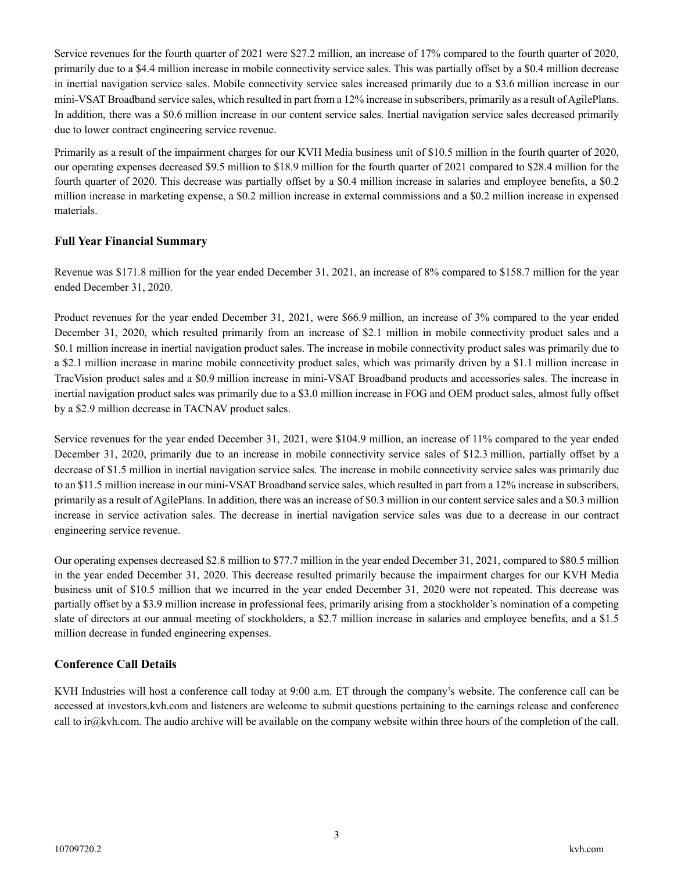Service revenues for the fourth quarter of 2021 were \$27.2 million, an increase of 17% compared to the fourth quarter of 2020, primarily due to a \$4.4 million increase in mobile connectivity service sales. This was partially offset by a \$0.4 million decrease in inertial navigation service sales. Mobile connectivity service sales increased primarily due to a \$3.6 million increase in our mini-VSAT Broadband service sales, which resulted in part from a 12% increase in subscribers, primarily as a result of AgilePlans. In addition, there was a \$0.6 million increase in our content service sales. Inertial navigation service sales decreased primarily due to lower contract engineering service revenue.

Primarily as a result of the impairment charges for our KVH Media business unit of \$10.5 million in the fourth quarter of 2020, our operating expenses decreased \$9.5 million to \$18.9 million for the fourth quarter of 2021 compared to \$28.4 million for the fourth quarter of 2020. This decrease was partially offset by a \$0.4 million increase in salaries and employee benefits, a \$0.2 million increase in marketing expense, a \$0.2 million increase in external commissions and a \$0.2 million increase in expensed materials.

#### **Full Year Financial Summary**

Revenue was \$171.8 million for the year ended December 31, 2021, an increase of 8% compared to \$158.7 million for the year ended December 31, 2020.

Product revenues for the year ended December 31, 2021, were \$66.9 million, an increase of 3% compared to the year ended December 31, 2020, which resulted primarily from an increase of \$2.1 million in mobile connectivity product sales and a \$0.1 million increase in inertial navigation product sales. The increase in mobile connectivity product sales was primarily due to a \$2.1 million increase in marine mobile connectivity product sales, which was primarily driven by a \$1.1 million increase in TracVision product sales and a \$0.9 million increase in mini-VSAT Broadband products and accessories sales. The increase in inertial navigation product sales was primarily due to a \$3.0 million increase in FOG and OEM product sales, almost fully offset by a \$2.9 million decrease in TACNAV product sales.

Service revenues for the year ended December 31, 2021, were \$104.9 million, an increase of 11% compared to the year ended December 31, 2020, primarily due to an increase in mobile connectivity service sales of \$12.3 million, partially offset by a decrease of \$1.5 million in inertial navigation service sales. The increase in mobile connectivity service sales was primarily due to an \$11.5 million increase in our mini-VSAT Broadband service sales, which resulted in part from a 12% increase in subscribers, primarily as a result of AgilePlans. In addition, there was an increase of \$0.3 million in our content service sales and a \$0.3 million increase in service activation sales. The decrease in inertial navigation service sales was due to a decrease in our contract engineering service revenue.

Our operating expenses decreased \$2.8 million to \$77.7 million in the year ended December 31, 2021, compared to \$80.5 million in the year ended December 31, 2020. This decrease resulted primarily because the impairment charges for our KVH Media business unit of \$10.5 million that we incurred in the year ended December 31, 2020 were not repeated. This decrease was partially offset by a \$3.9 million increase in professional fees, primarily arising from a stockholder's nomination of a competing slate of directors at our annual meeting of stockholders, a \$2.7 million increase in salaries and employee benefits, and a \$1.5 million decrease in funded engineering expenses.

#### **Conference Call Details**

KVH Industries will host a conference call today at 9:00 a.m. ET through the company's website. The conference call can be accessed at investors.kvh.com and listeners are welcome to submit questions pertaining to the earnings release and conference call to ir $@kvh.com$ . The audio archive will be available on the company website within three hours of the completion of the call.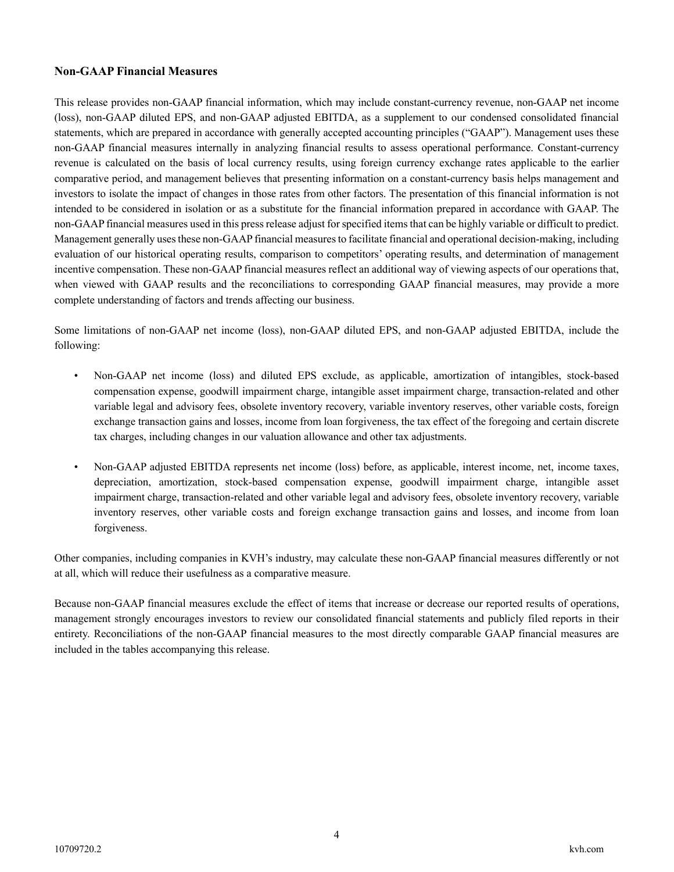#### **Non-GAAP Financial Measures**

This release provides non-GAAP financial information, which may include constant-currency revenue, non-GAAP net income (loss), non-GAAP diluted EPS, and non-GAAP adjusted EBITDA, as a supplement to our condensed consolidated financial statements, which are prepared in accordance with generally accepted accounting principles ("GAAP"). Management uses these non-GAAP financial measures internally in analyzing financial results to assess operational performance. Constant-currency revenue is calculated on the basis of local currency results, using foreign currency exchange rates applicable to the earlier comparative period, and management believes that presenting information on a constant-currency basis helps management and investors to isolate the impact of changes in those rates from other factors. The presentation of this financial information is not intended to be considered in isolation or as a substitute for the financial information prepared in accordance with GAAP. The non-GAAP financial measures used in this press release adjust for specified items that can be highly variable or difficult to predict. Management generally uses these non-GAAP financial measures to facilitate financial and operational decision-making, including evaluation of our historical operating results, comparison to competitors' operating results, and determination of management incentive compensation. These non-GAAP financial measures reflect an additional way of viewing aspects of our operations that, when viewed with GAAP results and the reconciliations to corresponding GAAP financial measures, may provide a more complete understanding of factors and trends affecting our business.

Some limitations of non-GAAP net income (loss), non-GAAP diluted EPS, and non-GAAP adjusted EBITDA, include the following:

- Non-GAAP net income (loss) and diluted EPS exclude, as applicable, amortization of intangibles, stock-based compensation expense, goodwill impairment charge, intangible asset impairment charge, transaction-related and other variable legal and advisory fees, obsolete inventory recovery, variable inventory reserves, other variable costs, foreign exchange transaction gains and losses, income from loan forgiveness, the tax effect of the foregoing and certain discrete tax charges, including changes in our valuation allowance and other tax adjustments.
- Non-GAAP adjusted EBITDA represents net income (loss) before, as applicable, interest income, net, income taxes, depreciation, amortization, stock-based compensation expense, goodwill impairment charge, intangible asset impairment charge, transaction-related and other variable legal and advisory fees, obsolete inventory recovery, variable inventory reserves, other variable costs and foreign exchange transaction gains and losses, and income from loan forgiveness.

Other companies, including companies in KVH's industry, may calculate these non-GAAP financial measures differently or not at all, which will reduce their usefulness as a comparative measure.

Because non-GAAP financial measures exclude the effect of items that increase or decrease our reported results of operations, management strongly encourages investors to review our consolidated financial statements and publicly filed reports in their entirety. Reconciliations of the non-GAAP financial measures to the most directly comparable GAAP financial measures are included in the tables accompanying this release.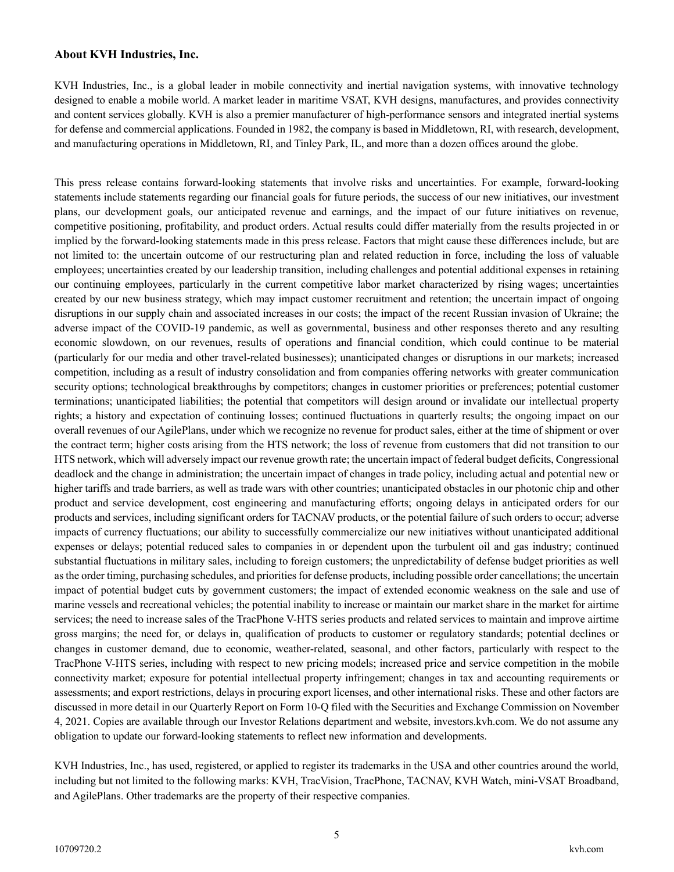#### **About KVH Industries, Inc.**

KVH Industries, Inc., is a global leader in mobile connectivity and inertial navigation systems, with innovative technology designed to enable a mobile world. A market leader in maritime VSAT, KVH designs, manufactures, and provides connectivity and content services globally. KVH is also a premier manufacturer of high-performance sensors and integrated inertial systems for defense and commercial applications. Founded in 1982, the company is based in Middletown, RI, with research, development, and manufacturing operations in Middletown, RI, and Tinley Park, IL, and more than a dozen offices around the globe.

This press release contains forward-looking statements that involve risks and uncertainties. For example, forward-looking statements include statements regarding our financial goals for future periods, the success of our new initiatives, our investment plans, our development goals, our anticipated revenue and earnings, and the impact of our future initiatives on revenue, competitive positioning, profitability, and product orders. Actual results could differ materially from the results projected in or implied by the forward-looking statements made in this press release. Factors that might cause these differences include, but are not limited to: the uncertain outcome of our restructuring plan and related reduction in force, including the loss of valuable employees; uncertainties created by our leadership transition, including challenges and potential additional expenses in retaining our continuing employees, particularly in the current competitive labor market characterized by rising wages; uncertainties created by our new business strategy, which may impact customer recruitment and retention; the uncertain impact of ongoing disruptions in our supply chain and associated increases in our costs; the impact of the recent Russian invasion of Ukraine; the adverse impact of the COVID-19 pandemic, as well as governmental, business and other responses thereto and any resulting economic slowdown, on our revenues, results of operations and financial condition, which could continue to be material (particularly for our media and other travel-related businesses); unanticipated changes or disruptions in our markets; increased competition, including as a result of industry consolidation and from companies offering networks with greater communication security options; technological breakthroughs by competitors; changes in customer priorities or preferences; potential customer terminations; unanticipated liabilities; the potential that competitors will design around or invalidate our intellectual property rights; a history and expectation of continuing losses; continued fluctuations in quarterly results; the ongoing impact on our overall revenues of our AgilePlans, under which we recognize no revenue for product sales, either at the time of shipment or over the contract term; higher costs arising from the HTS network; the loss of revenue from customers that did not transition to our HTS network, which will adversely impact our revenue growth rate; the uncertain impact of federal budget deficits, Congressional deadlock and the change in administration; the uncertain impact of changes in trade policy, including actual and potential new or higher tariffs and trade barriers, as well as trade wars with other countries; unanticipated obstacles in our photonic chip and other product and service development, cost engineering and manufacturing efforts; ongoing delays in anticipated orders for our products and services, including significant orders for TACNAV products, or the potential failure of such orders to occur; adverse impacts of currency fluctuations; our ability to successfully commercialize our new initiatives without unanticipated additional expenses or delays; potential reduced sales to companies in or dependent upon the turbulent oil and gas industry; continued substantial fluctuations in military sales, including to foreign customers; the unpredictability of defense budget priorities as well as the order timing, purchasing schedules, and priorities for defense products, including possible order cancellations; the uncertain impact of potential budget cuts by government customers; the impact of extended economic weakness on the sale and use of marine vessels and recreational vehicles; the potential inability to increase or maintain our market share in the market for airtime services; the need to increase sales of the TracPhone V-HTS series products and related services to maintain and improve airtime gross margins; the need for, or delays in, qualification of products to customer or regulatory standards; potential declines or changes in customer demand, due to economic, weather-related, seasonal, and other factors, particularly with respect to the TracPhone V-HTS series, including with respect to new pricing models; increased price and service competition in the mobile connectivity market; exposure for potential intellectual property infringement; changes in tax and accounting requirements or assessments; and export restrictions, delays in procuring export licenses, and other international risks. These and other factors are discussed in more detail in our Quarterly Report on Form 10-Q filed with the Securities and Exchange Commission on November 4, 2021. Copies are available through our Investor Relations department and website, investors.kvh.com. We do not assume any obligation to update our forward-looking statements to reflect new information and developments.

KVH Industries, Inc., has used, registered, or applied to register its trademarks in the USA and other countries around the world, including but not limited to the following marks: KVH, TracVision, TracPhone, TACNAV, KVH Watch, mini-VSAT Broadband, and AgilePlans. Other trademarks are the property of their respective companies.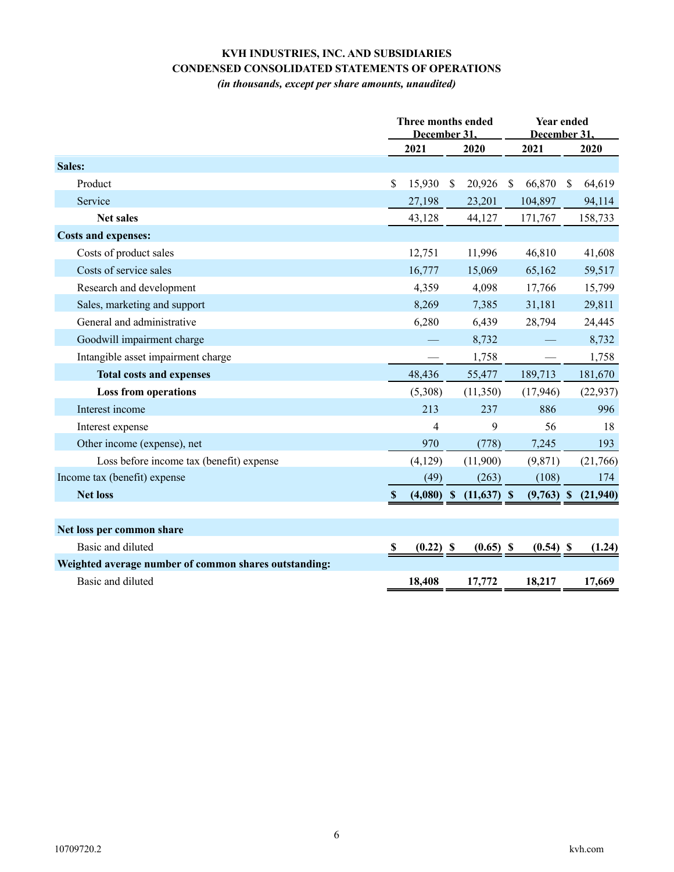## **KVH INDUSTRIES, INC. AND SUBSIDIARIES CONDENSED CONSOLIDATED STATEMENTS OF OPERATIONS**

*(in thousands, except per share amounts, unaudited)*

|                                                       | <b>Three months ended</b><br>December 31 |              |               |               |      | <b>Year ended</b><br>December 31 |               |           |
|-------------------------------------------------------|------------------------------------------|--------------|---------------|---------------|------|----------------------------------|---------------|-----------|
|                                                       |                                          | 2021         |               | 2020          | 2021 |                                  |               | 2020      |
| Sales:                                                |                                          |              |               |               |      |                                  |               |           |
| Product                                               | \$                                       | 15,930       | <sup>\$</sup> | 20,926        | S    | 66,870                           | <sup>\$</sup> | 64,619    |
| Service                                               |                                          | 27,198       |               | 23,201        |      | 104,897                          |               | 94,114    |
| <b>Net sales</b>                                      |                                          | 43,128       |               | 44,127        |      | 171,767                          |               | 158,733   |
| <b>Costs and expenses:</b>                            |                                          |              |               |               |      |                                  |               |           |
| Costs of product sales                                |                                          | 12,751       |               | 11,996        |      | 46,810                           |               | 41,608    |
| Costs of service sales                                |                                          | 16,777       |               | 15,069        |      | 65,162                           |               | 59,517    |
| Research and development                              |                                          | 4,359        |               | 4,098         |      | 17,766                           |               | 15,799    |
| Sales, marketing and support                          |                                          | 8,269        |               | 7,385         |      | 31,181                           |               | 29,811    |
| General and administrative                            |                                          | 6,280        |               | 6,439         |      | 28,794                           |               | 24,445    |
| Goodwill impairment charge                            |                                          |              |               | 8,732         |      |                                  |               | 8,732     |
| Intangible asset impairment charge                    |                                          |              |               | 1,758         |      |                                  |               | 1,758     |
| <b>Total costs and expenses</b>                       |                                          | 48,436       |               | 55,477        |      | 189,713                          |               | 181,670   |
| <b>Loss from operations</b>                           |                                          | (5,308)      |               | (11,350)      |      | (17, 946)                        |               | (22, 937) |
| Interest income                                       |                                          | 213          |               | 237           |      | 886                              |               | 996       |
| Interest expense                                      |                                          | 4            |               | 9             |      | 56                               |               | 18        |
| Other income (expense), net                           |                                          | 970          |               | (778)         |      | 7,245                            |               | 193       |
| Loss before income tax (benefit) expense              |                                          | (4,129)      |               | (11,900)      |      | (9,871)                          |               | (21,766)  |
| Income tax (benefit) expense                          |                                          | (49)         |               | (263)         |      | (108)                            |               | 174       |
| <b>Net loss</b>                                       | $\mathbf{\$}$                            | $(4,080)$ \$ |               | $(11,637)$ \$ |      | $(9,763)$ \$                     |               | (21,940)  |
|                                                       |                                          |              |               |               |      |                                  |               |           |
| Net loss per common share                             |                                          |              |               |               |      |                                  |               |           |
| Basic and diluted                                     | -S                                       | $(0.22)$ \$  |               | $(0.65)$ \$   |      | $(0.54)$ \$                      |               | (1.24)    |
| Weighted average number of common shares outstanding: |                                          |              |               |               |      |                                  |               |           |
| Basic and diluted                                     |                                          | 18,408       |               | 17,772        |      | 18,217                           |               | 17,669    |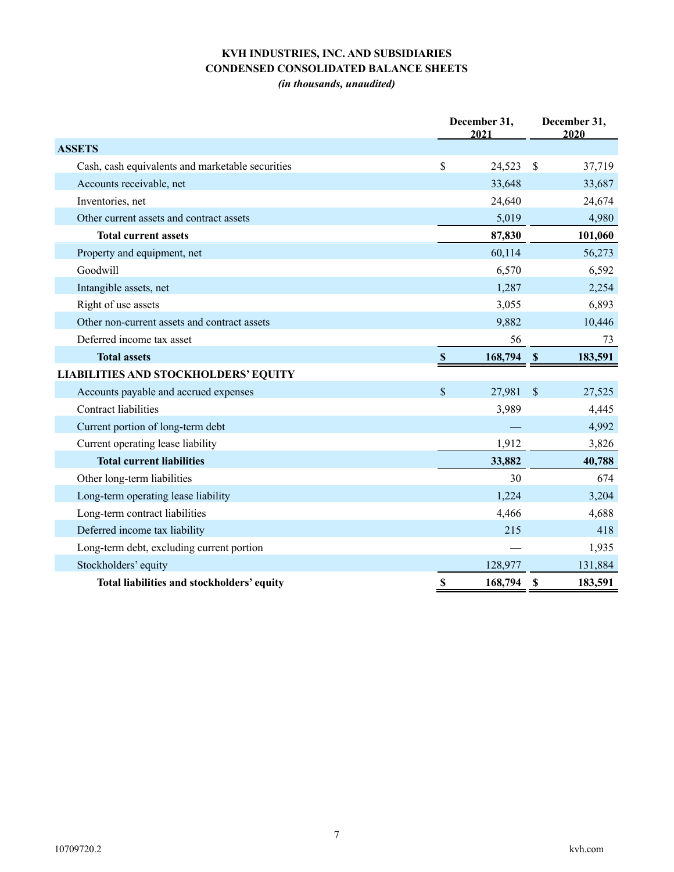# **KVH INDUSTRIES, INC. AND SUBSIDIARIES CONDENSED CONSOLIDATED BALANCE SHEETS**

*(in thousands, unaudited)*

|                                                  |              | December 31,<br>2021 |               | December 31,<br>2020 |
|--------------------------------------------------|--------------|----------------------|---------------|----------------------|
| <b>ASSETS</b>                                    |              |                      |               |                      |
| Cash, cash equivalents and marketable securities | \$           | 24,523               | $\mathbb{S}$  | 37,719               |
| Accounts receivable, net                         |              | 33,648               |               | 33,687               |
| Inventories, net                                 |              | 24,640               |               | 24,674               |
| Other current assets and contract assets         |              | 5,019                |               | 4,980                |
| <b>Total current assets</b>                      |              | 87,830               |               | 101,060              |
| Property and equipment, net                      |              | 60,114               |               | 56,273               |
| Goodwill                                         |              | 6,570                |               | 6,592                |
| Intangible assets, net                           |              | 1,287                |               | 2,254                |
| Right of use assets                              |              | 3,055                |               | 6,893                |
| Other non-current assets and contract assets     |              | 9,882                |               | 10,446               |
| Deferred income tax asset                        |              | 56                   |               | 73                   |
| <b>Total assets</b>                              | $\mathbb{S}$ | 168,794              | $\mathbf{\$}$ | 183,591              |
| <b>LIABILITIES AND STOCKHOLDERS' EQUITY</b>      |              |                      |               |                      |
| Accounts payable and accrued expenses            | \$           | 27,981               | $\mathcal{S}$ | 27,525               |
| Contract liabilities                             |              | 3,989                |               | 4,445                |
| Current portion of long-term debt                |              |                      |               | 4,992                |
| Current operating lease liability                |              | 1,912                |               | 3,826                |
| <b>Total current liabilities</b>                 |              | 33,882               |               | 40,788               |
| Other long-term liabilities                      |              | 30                   |               | 674                  |
| Long-term operating lease liability              |              | 1,224                |               | 3,204                |
| Long-term contract liabilities                   |              | 4,466                |               | 4,688                |
| Deferred income tax liability                    |              | 215                  |               | 418                  |
| Long-term debt, excluding current portion        |              |                      |               | 1,935                |
| Stockholders' equity                             |              | 128,977              |               | 131,884              |
| Total liabilities and stockholders' equity       | \$           | 168,794              | <b>S</b>      | 183,591              |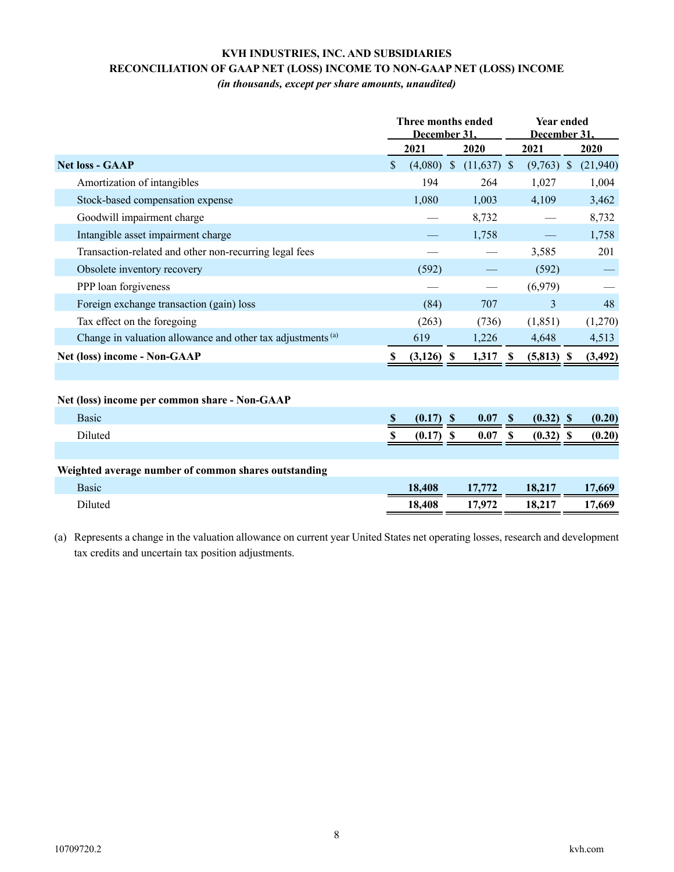### **KVH INDUSTRIES, INC. AND SUBSIDIARIES RECONCILIATION OF GAAP NET (LOSS) INCOME TO NON-GAAP NET (LOSS) INCOME**

*(in thousands, except per share amounts, unaudited)*

|                                                             | Three months ended<br>December 31 |              |  |               |                    | <b>Year ended</b><br>December 31 |  |          |  |
|-------------------------------------------------------------|-----------------------------------|--------------|--|---------------|--------------------|----------------------------------|--|----------|--|
|                                                             |                                   | 2021         |  | 2020          |                    | 2021                             |  | 2020     |  |
| <b>Net loss - GAAP</b>                                      | \$                                | $(4,080)$ \$ |  | $(11,637)$ \$ |                    | $(9,763)$ \$                     |  | (21,940) |  |
| Amortization of intangibles                                 |                                   | 194          |  | 264           |                    | 1,027                            |  | 1,004    |  |
| Stock-based compensation expense                            |                                   | 1,080        |  | 1,003         |                    | 4,109                            |  | 3,462    |  |
| Goodwill impairment charge                                  |                                   |              |  | 8,732         |                    |                                  |  | 8,732    |  |
| Intangible asset impairment charge                          |                                   |              |  | 1,758         |                    |                                  |  | 1,758    |  |
| Transaction-related and other non-recurring legal fees      |                                   |              |  |               |                    | 3,585                            |  | 201      |  |
| Obsolete inventory recovery                                 |                                   | (592)        |  |               |                    | (592)                            |  |          |  |
| PPP loan forgiveness                                        |                                   |              |  |               |                    | (6,979)                          |  |          |  |
| Foreign exchange transaction (gain) loss                    |                                   | (84)         |  | 707           |                    | $\mathcal{E}$                    |  | 48       |  |
| Tax effect on the foregoing                                 |                                   | (263)        |  | (736)         |                    | (1, 851)                         |  | (1,270)  |  |
| Change in valuation allowance and other tax adjustments (a) |                                   | 619          |  | 1,226         |                    | 4,648                            |  | 4,513    |  |
| Net (loss) income - Non-GAAP                                | S                                 | $(3,126)$ \$ |  | $1,317$ \$    |                    | $(5,813)$ \$                     |  | (3, 492) |  |
|                                                             |                                   |              |  |               |                    |                                  |  |          |  |
| Net (loss) income per common share - Non-GAAP               |                                   |              |  |               |                    |                                  |  |          |  |
| <b>Basic</b>                                                | $\mathbf{\$}$                     | $(0.17)$ \$  |  | 0.07          | $\mathbf{\hat{s}}$ | $(0.32)$ \$                      |  | (0.20)   |  |
| Diluted                                                     | S                                 | $(0.17)$ \$  |  | 0.07          | <b>S</b>           | $(0.32)$ \$                      |  | (0.20)   |  |
|                                                             |                                   |              |  |               |                    |                                  |  |          |  |
| Weighted average number of common shares outstanding        |                                   |              |  |               |                    |                                  |  |          |  |
| <b>Basic</b>                                                |                                   | 18,408       |  | 17,772        |                    | 18,217                           |  | 17,669   |  |
| Diluted                                                     |                                   | 18,408       |  | 17,972        |                    | 18,217                           |  | 17,669   |  |
|                                                             |                                   |              |  |               |                    |                                  |  |          |  |

(a) Represents a change in the valuation allowance on current year United States net operating losses, research and development tax credits and uncertain tax position adjustments.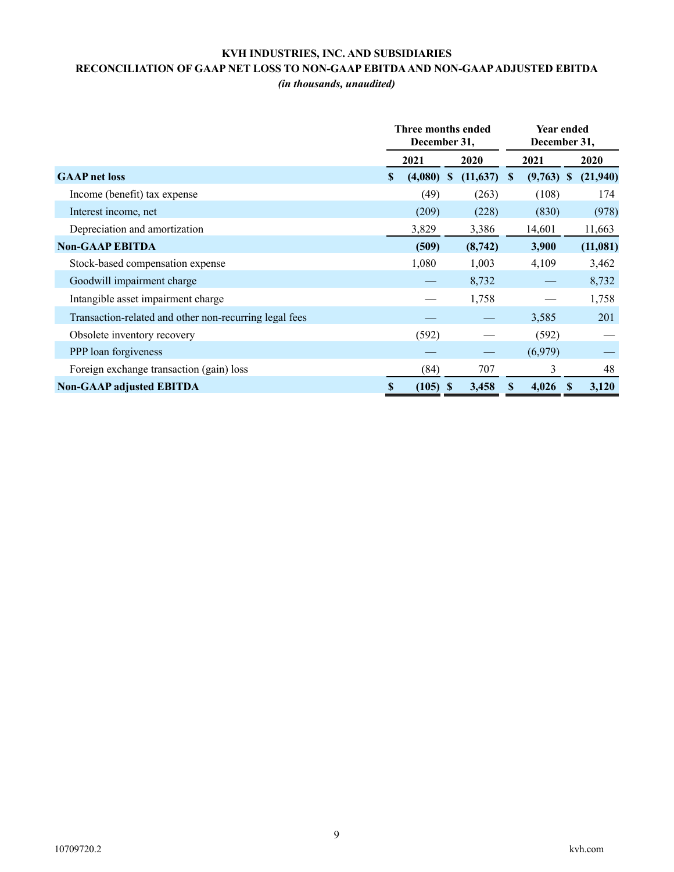# **KVH INDUSTRIES, INC. AND SUBSIDIARIES RECONCILIATION OF GAAP NET LOSS TO NON-GAAP EBITDA AND NON-GAAP ADJUSTED EBITDA**

*(in thousands, unaudited)*

|                                                        | Three months ended<br>December 31, |            |              |           | <b>Year ended</b><br>December 31, |              |               |          |
|--------------------------------------------------------|------------------------------------|------------|--------------|-----------|-----------------------------------|--------------|---------------|----------|
|                                                        |                                    | 2021       |              | 2020      |                                   | 2021         |               | 2020     |
| <b>GAAP</b> net loss                                   | \$                                 | (4,080)    | <sup>S</sup> | (11, 637) | <sup>S</sup>                      | $(9,763)$ \$ |               | (21,940) |
| Income (benefit) tax expense                           |                                    | (49)       |              | (263)     |                                   | (108)        |               | 174      |
| Interest income, net                                   |                                    | (209)      |              | (228)     |                                   | (830)        |               | (978)    |
| Depreciation and amortization                          |                                    | 3,829      |              | 3,386     |                                   | 14,601       |               | 11,663   |
| <b>Non-GAAP EBITDA</b>                                 |                                    | (509)      |              | (8,742)   |                                   | 3,900        |               | (11,081) |
| Stock-based compensation expense                       |                                    | 1,080      |              | 1,003     |                                   | 4,109        |               | 3,462    |
| Goodwill impairment charge                             |                                    |            |              | 8,732     |                                   |              |               | 8,732    |
| Intangible asset impairment charge                     |                                    |            |              | 1,758     |                                   |              |               | 1,758    |
| Transaction-related and other non-recurring legal fees |                                    |            |              |           |                                   | 3,585        |               | 201      |
| Obsolete inventory recovery                            |                                    | (592)      |              |           |                                   | (592)        |               |          |
| PPP loan forgiveness                                   |                                    |            |              |           |                                   | (6,979)      |               |          |
| Foreign exchange transaction (gain) loss               |                                    | (84)       |              | 707       |                                   | 3            |               | 48       |
| <b>Non-GAAP adjusted EBITDA</b>                        | \$                                 | $(105)$ \$ |              | 3,458     | S                                 | 4,026        | <sup>\$</sup> | 3,120    |